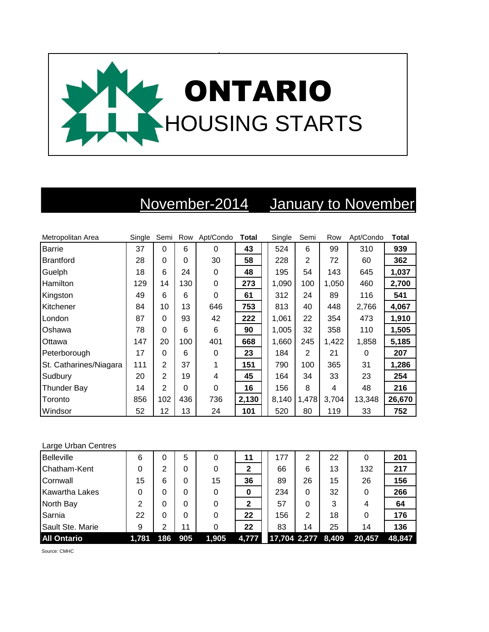

## November-2014 January to November

| Metropolitan Area      | Single |                | Semi Row | Apt/Condo | <b>Total</b> | Single | Semi           | Row   | Apt/Condo | <b>Total</b> |
|------------------------|--------|----------------|----------|-----------|--------------|--------|----------------|-------|-----------|--------------|
| Barrie                 | 37     | $\Omega$       | 6        | 0         | 43           | 524    | 6              | 99    | 310       | 939          |
| <b>Brantford</b>       | 28     | $\Omega$       | 0        | 30        | 58           | 228    | 2              | 72    | 60        | 362          |
| Guelph                 | 18     | 6              | 24       | 0         | 48           | 195    | 54             | 143   | 645       | 1,037        |
| Hamilton               | 129    | 14             | 130      | 0         | 273          | 1,090  | 100            | 1,050 | 460       | 2,700        |
| Kingston               | 49     | 6              | 6        | $\Omega$  | 61           | 312    | 24             | 89    | 116       | 541          |
| Kitchener              | 84     | 10             | 13       | 646       | 753          | 813    | 40             | 448   | 2,766     | 4,067        |
| London                 | 87     | 0              | 93       | 42        | 222          | 1,061  | 22             | 354   | 473       | 1,910        |
| Oshawa                 | 78     | $\Omega$       | 6        | 6         | 90           | 1,005  | 32             | 358   | 110       | 1,505        |
| Ottawa                 | 147    | 20             | 100      | 401       | 668          | 1,660  | 245            | 1,422 | 1,858     | 5,185        |
| Peterborough           | 17     | 0              | 6        | 0         | 23           | 184    | $\overline{2}$ | 21    | 0         | 207          |
| St. Catharines/Niagara | 111    | $\overline{2}$ | 37       |           | 151          | 790    | 100            | 365   | 31        | 1,286        |
| Sudbury                | 20     | $\overline{2}$ | 19       | 4         | 45           | 164    | 34             | 33    | 23        | 254          |
| <b>Thunder Bay</b>     | 14     | $\overline{2}$ | $\Omega$ | $\Omega$  | 16           | 156    | 8              | 4     | 48        | 216          |
| Toronto                | 856    | 102            | 436      | 736       | 2,130        | 8,140  | 1,478          | 3,704 | 13,348    | 26,670       |
| Windsor                | 52     | 12             | 13       | 24        | 101          | 520    | 80             | 119   | 33        | 752          |

## Large Urban Centres

| <b>Belleville</b>     | 6     | 0   | 5   |       | 11    | 177                | 2  | 22 |        | 201    |
|-----------------------|-------|-----|-----|-------|-------|--------------------|----|----|--------|--------|
| Chatham-Kent          | 0     | 2   |     |       | 2     | 66                 | 6  | 13 | 132    | 217    |
| Cornwall              | 15    | 6   |     | 15    | 36    | 89                 | 26 | 15 | 26     | 156    |
| <b>Kawartha Lakes</b> | 0     | 0   |     | 0     | 0     | 234                | 0  | 32 |        | 266    |
| North Bay             | 2     | 0   |     |       | 2     | 57                 | 0  | 3  | 4      | 64     |
| Sarnia                | 22    | 0   |     |       | 22    | 156                | 2  | 18 |        | 176    |
| Sault Ste. Marie      | 9     | 2   | 11  |       | 22    | 83                 | 14 | 25 | 14     | 136    |
| <b>All Ontario</b>    | 1,781 | 186 | 905 | 1,905 | 4,777 | 17,704 2,277 8,409 |    |    | 20,457 | 48.847 |

Source: CMHC